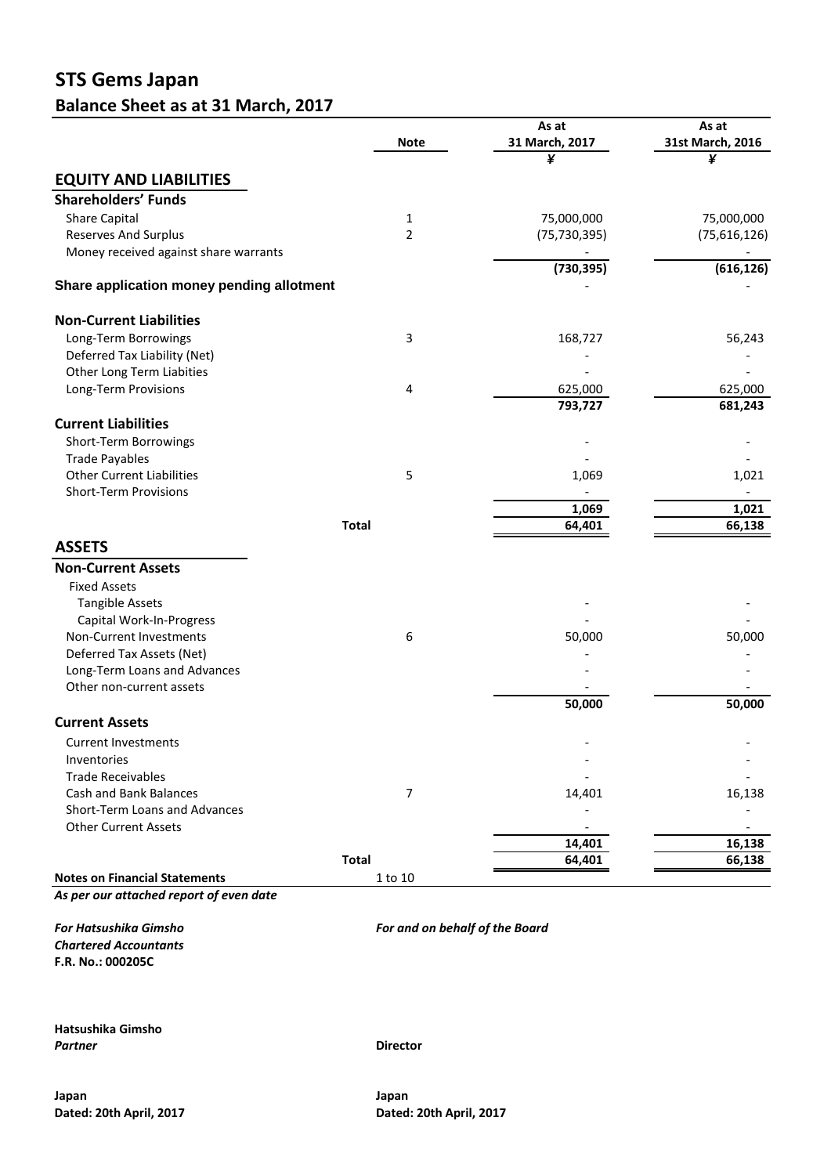## **STS Gems Japan Balance Sheet as at 31 March, 2017**

|                                           |                | As at          | As at            |
|-------------------------------------------|----------------|----------------|------------------|
|                                           | <b>Note</b>    | 31 March, 2017 | 31st March, 2016 |
|                                           |                | ¥              | ¥                |
| <b>EQUITY AND LIABILITIES</b>             |                |                |                  |
| <b>Shareholders' Funds</b>                |                |                |                  |
| <b>Share Capital</b>                      | 1              | 75,000,000     | 75,000,000       |
| <b>Reserves And Surplus</b>               | $\overline{2}$ | (75, 730, 395) | (75,616,126)     |
| Money received against share warrants     |                |                |                  |
|                                           |                | (730, 395)     | (616, 126)       |
| Share application money pending allotment |                |                |                  |
|                                           |                |                |                  |
| <b>Non-Current Liabilities</b>            |                |                |                  |
| Long-Term Borrowings                      | 3              | 168,727        | 56,243           |
| Deferred Tax Liability (Net)              |                |                |                  |
| Other Long Term Liabities                 |                |                |                  |
| Long-Term Provisions                      | 4              | 625,000        | 625,000          |
|                                           |                | 793,727        | 681,243          |
| <b>Current Liabilities</b>                |                |                |                  |
| Short-Term Borrowings                     |                |                |                  |
| <b>Trade Payables</b>                     |                |                |                  |
| <b>Other Current Liabilities</b>          | 5              | 1,069          | 1,021            |
| <b>Short-Term Provisions</b>              |                |                |                  |
|                                           |                | 1,069          | 1,021            |
|                                           | <b>Total</b>   | 64,401         | 66,138           |
| <b>ASSETS</b>                             |                |                |                  |
| <b>Non-Current Assets</b>                 |                |                |                  |
| <b>Fixed Assets</b>                       |                |                |                  |
| <b>Tangible Assets</b>                    |                |                |                  |
| Capital Work-In-Progress                  |                |                |                  |
| Non-Current Investments                   | 6              | 50,000         | 50,000           |
| Deferred Tax Assets (Net)                 |                |                |                  |
| Long-Term Loans and Advances              |                |                |                  |
| Other non-current assets                  |                |                |                  |
|                                           |                | 50,000         | 50,000           |
| <b>Current Assets</b>                     |                |                |                  |
| <b>Current Investments</b>                |                |                |                  |
| Inventories                               |                |                |                  |
| <b>Trade Receivables</b>                  |                |                |                  |
| Cash and Bank Balances                    | $\overline{7}$ | 14,401         | 16,138           |
| Short-Term Loans and Advances             |                |                |                  |
| <b>Other Current Assets</b>               |                |                |                  |
|                                           |                | 14,401         | 16,138           |
|                                           | <b>Total</b>   | 64,401         | 66,138           |
| <b>Notes on Financial Statements</b>      | 1 to 10        |                |                  |

*As per our attached report of even date*

*For Hatsushika Gimsho For and on behalf of the Board Chartered Accountants* **F.R. No.: 000205C**

**Hatsushika Gimsho** *Partner* **Director**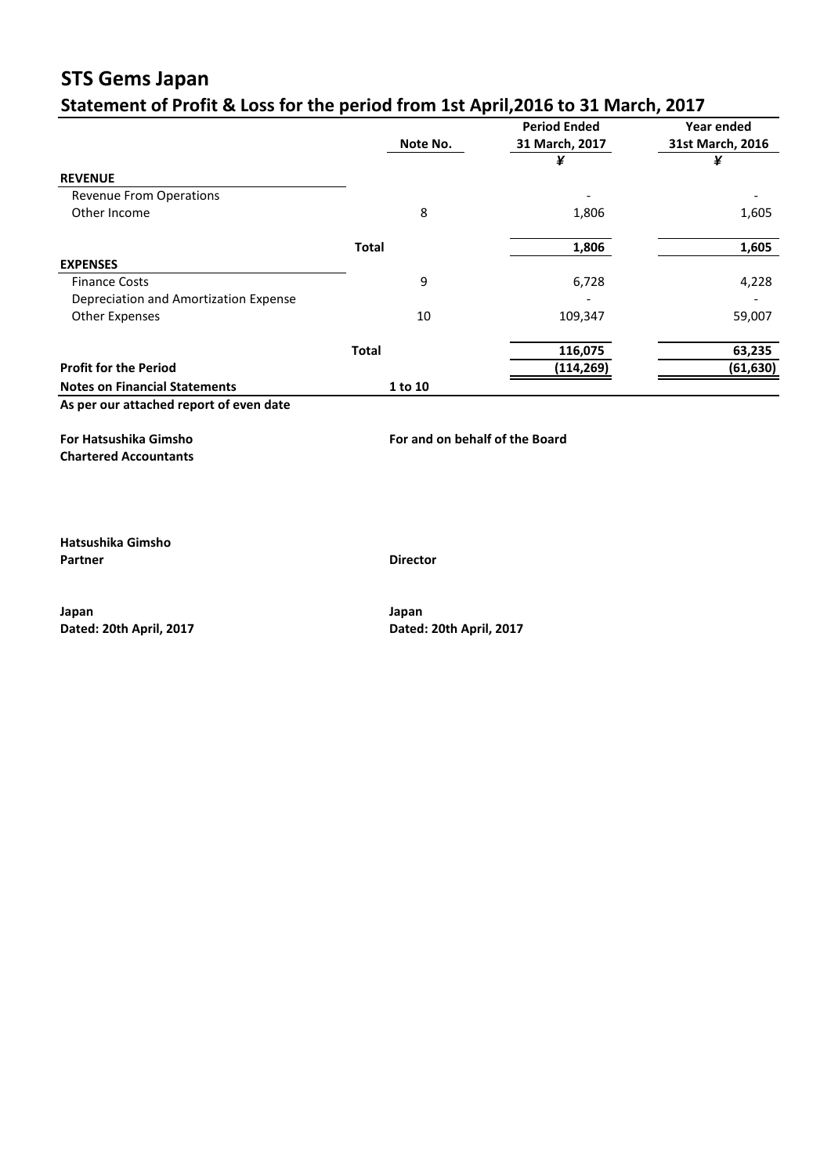# **STS Gems Japan**<br>Statement of Profit 8 Ld

|                                       |              | <b>Period Ended</b> | Year ended       |
|---------------------------------------|--------------|---------------------|------------------|
|                                       | Note No.     | 31 March, 2017      | 31st March, 2016 |
|                                       |              | ¥                   | ¥                |
| <b>REVENUE</b>                        |              |                     |                  |
| <b>Revenue From Operations</b>        |              |                     |                  |
| Other Income                          | 8            | 1,806               | 1,605            |
|                                       | <b>Total</b> | 1,806               | 1,605            |
| <b>EXPENSES</b>                       |              |                     |                  |
| <b>Finance Costs</b>                  | 9            | 6,728               | 4,228            |
| Depreciation and Amortization Expense |              |                     |                  |
| <b>Other Expenses</b>                 | 10           | 109,347             | 59,007           |
|                                       | <b>Total</b> | 116,075             | 63,235           |
| <b>Profit for the Period</b>          |              | (114, 269)          | (61, 630)        |
| <b>Notes on Financial Statements</b>  | 1 to 10      |                     |                  |

**Chartered Accountants**

**Hatsushika Gimsho Partner Director**

**For Hatsushika Gimsho For and on behalf of the Board**

**Japan Japan**

**Dated: 20th April, 2017 Dated: 20th April, 2017**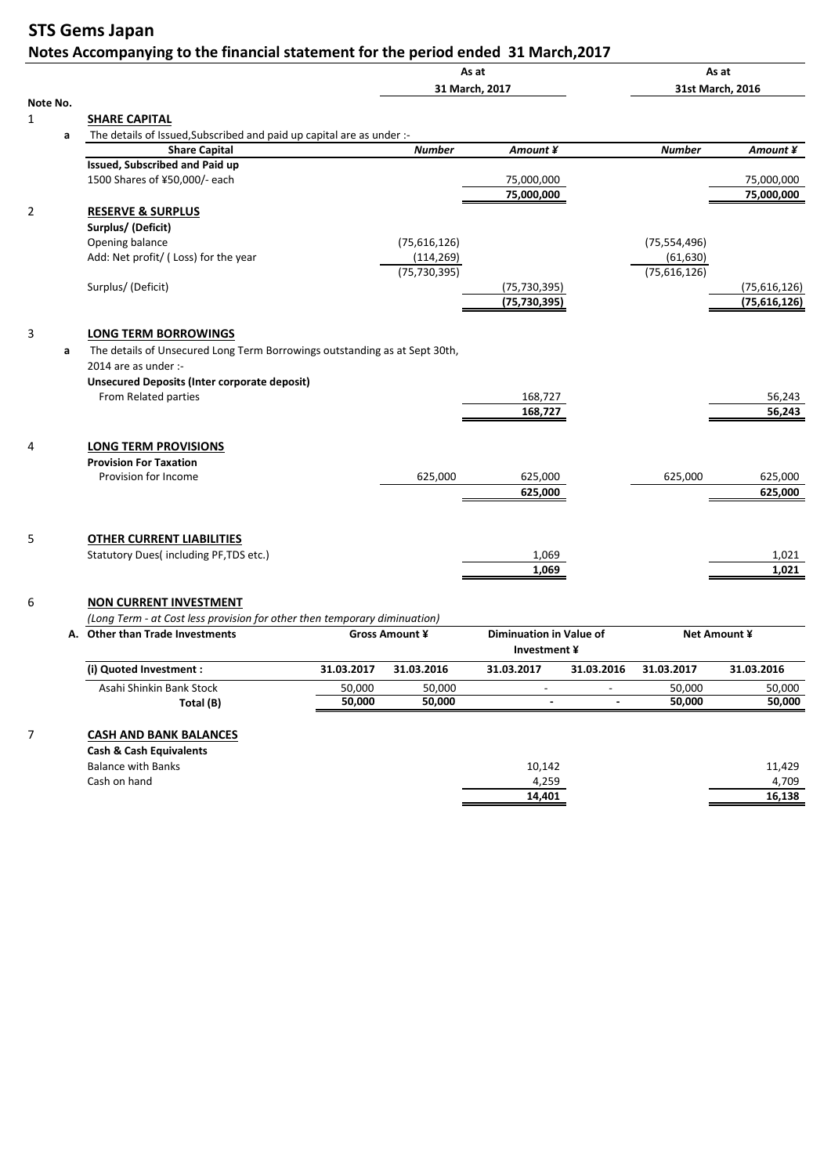### **STS Gems Japan Notes Accompanying to the financial statement for the period ended 31 March,2017**

|          |                                                                                                                                                                                   |            |                | As at                                          |                |                | As at            |
|----------|-----------------------------------------------------------------------------------------------------------------------------------------------------------------------------------|------------|----------------|------------------------------------------------|----------------|----------------|------------------|
|          |                                                                                                                                                                                   |            |                | 31 March, 2017                                 |                |                | 31st March, 2016 |
| Note No. |                                                                                                                                                                                   |            |                |                                                |                |                |                  |
|          | <b>SHARE CAPITAL</b>                                                                                                                                                              |            |                |                                                |                |                |                  |
| a        | The details of Issued, Subscribed and paid up capital are as under :-                                                                                                             |            |                |                                                |                |                |                  |
|          | <b>Share Capital</b>                                                                                                                                                              |            | <b>Number</b>  | Amount ¥                                       |                | <b>Number</b>  | Amount ¥         |
|          | <b>Issued, Subscribed and Paid up</b>                                                                                                                                             |            |                |                                                |                |                |                  |
|          | 1500 Shares of ¥50,000/- each                                                                                                                                                     |            |                | 75,000,000                                     |                |                | 75,000,000       |
|          |                                                                                                                                                                                   |            |                | 75,000,000                                     |                |                | 75,000,000       |
|          | <b>RESERVE &amp; SURPLUS</b>                                                                                                                                                      |            |                |                                                |                |                |                  |
|          | Surplus/ (Deficit)                                                                                                                                                                |            |                |                                                |                |                |                  |
|          | Opening balance                                                                                                                                                                   |            | (75,616,126)   |                                                |                | (75, 554, 496) |                  |
|          | Add: Net profit/ (Loss) for the year                                                                                                                                              |            | (114, 269)     |                                                |                | (61, 630)      |                  |
|          |                                                                                                                                                                                   |            | (75, 730, 395) |                                                |                | (75,616,126)   |                  |
|          | Surplus/(Deficit)                                                                                                                                                                 |            |                | (75, 730, 395)                                 |                |                | (75,616,126)     |
|          |                                                                                                                                                                                   |            |                | (75, 730, 395)                                 |                |                | (75,616,126)     |
|          |                                                                                                                                                                                   |            |                |                                                |                |                |                  |
| a        | The details of Unsecured Long Term Borrowings outstanding as at Sept 30th,<br>2014 are as under :-<br><b>Unsecured Deposits (Inter corporate deposit)</b><br>From Related parties |            |                | 168,727                                        |                |                | 56,243           |
|          |                                                                                                                                                                                   |            |                | 168,727                                        |                |                | 56,243           |
|          | <b>LONG TERM PROVISIONS</b><br><b>Provision For Taxation</b><br>Provision for Income                                                                                              |            | 625,000        | 625,000                                        |                | 625,000        | 625,000          |
|          |                                                                                                                                                                                   |            |                | 625,000                                        |                |                | 625,000          |
|          |                                                                                                                                                                                   |            |                |                                                |                |                |                  |
|          | <b>OTHER CURRENT LIABILITIES</b>                                                                                                                                                  |            |                |                                                |                |                |                  |
|          | Statutory Dues(including PF, TDS etc.)                                                                                                                                            |            |                | 1,069                                          |                |                | 1,021            |
|          |                                                                                                                                                                                   |            |                | 1,069                                          |                |                | 1,021            |
|          | <b>NON CURRENT INVESTMENT</b>                                                                                                                                                     |            |                |                                                |                |                |                  |
|          | (Long Term - at Cost less provision for other then temporary diminuation)                                                                                                         |            |                |                                                |                |                |                  |
|          | A. Other than Trade Investments                                                                                                                                                   |            | Gross Amount ¥ | <b>Diminuation in Value of</b><br>Investment ¥ |                |                | Net Amount ¥     |
|          | (i) Quoted Investment :                                                                                                                                                           | 31.03.2017 | 31.03.2016     | 31.03.2017                                     | 31.03.2016     | 31.03.2017     | 31.03.2016       |
|          | Asahi Shinkin Bank Stock                                                                                                                                                          | 50,000     | 50,000         | $\overline{\phantom{a}}$                       |                | 50,000         | 50,000           |
|          | Total (B)                                                                                                                                                                         | 50,000     | 50,000         | $\blacksquare$                                 | $\blacksquare$ | 50,000         | 50,000           |

#### 7 **CASH AND BANK BALANCES**

| <b>Cash &amp; Cash Equivalents</b> |        |        |
|------------------------------------|--------|--------|
| Balance with Banks                 | 10,142 | 11,429 |
| Cash on hand                       | 4,259  | 4.709  |
|                                    | 14.401 | 16.138 |